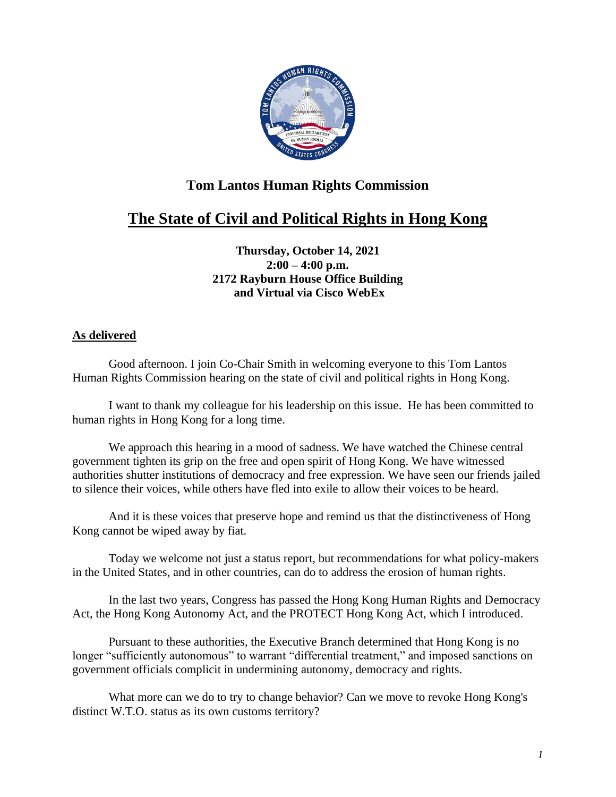

## **Tom Lantos Human Rights Commission**

## **The State of Civil and Political Rights in Hong Kong**

**Thursday, October 14, 2021 2:00 – 4:00 p.m. 2172 Rayburn House Office Building and Virtual via Cisco WebEx**

## **As delivered**

Good afternoon. I join Co-Chair Smith in welcoming everyone to this Tom Lantos Human Rights Commission hearing on the state of civil and political rights in Hong Kong.

I want to thank my colleague for his leadership on this issue. He has been committed to human rights in Hong Kong for a long time.

We approach this hearing in a mood of sadness. We have watched the Chinese central government tighten its grip on the free and open spirit of Hong Kong. We have witnessed authorities shutter institutions of democracy and free expression. We have seen our friends jailed to silence their voices, while others have fled into exile to allow their voices to be heard.

And it is these voices that preserve hope and remind us that the distinctiveness of Hong Kong cannot be wiped away by fiat.

Today we welcome not just a status report, but recommendations for what policy-makers in the United States, and in other countries, can do to address the erosion of human rights.

In the last two years, Congress has passed the Hong Kong Human Rights and Democracy Act, the Hong Kong Autonomy Act, and the PROTECT Hong Kong Act, which I introduced.

Pursuant to these authorities, the Executive Branch determined that Hong Kong is no longer "sufficiently autonomous" to warrant "differential treatment," and imposed sanctions on government officials complicit in undermining autonomy, democracy and rights.

What more can we do to try to change behavior? Can we move to revoke Hong Kong's distinct W.T.O. status as its own customs territory?